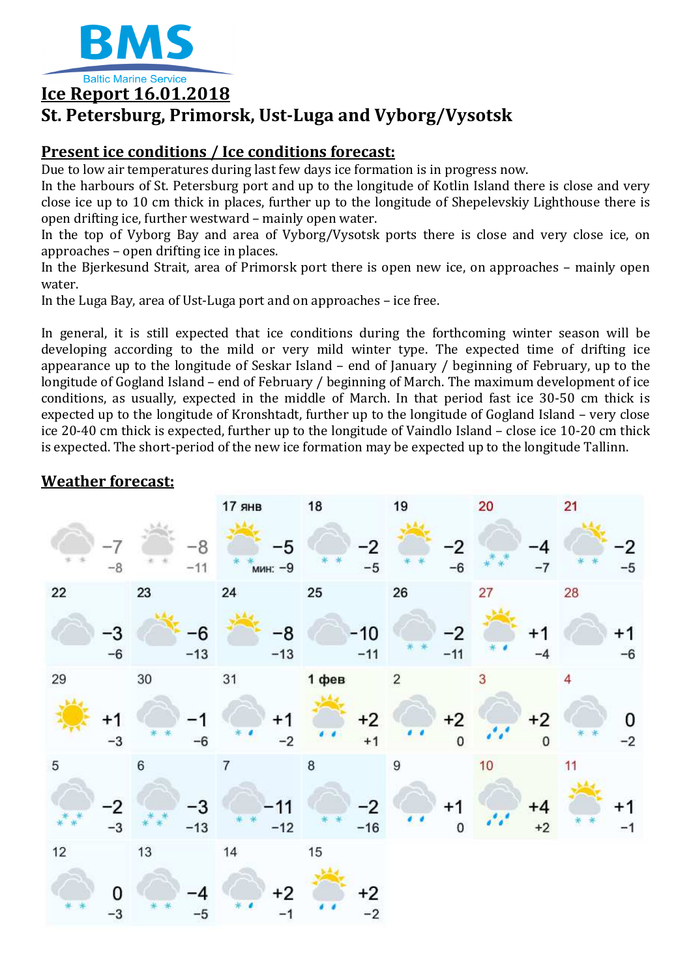

# **Ice Report 16.01.2018 St. Petersburg, Primorsk, Ust-Luga and Vyborg/Vysotsk**

# **Present ice conditions / Ice conditions forecast:**

Due to low air temperatures during last few days ice formation is in progress now.

In the harbours of St. Petersburg port and up to the longitude of Kotlin Island there is close and very close ice up to 10 cm thick in places, further up to the longitude of Shepelevskiy Lighthouse there is open drifting ice, further westward – mainly open water.

In the top of Vyborg Bay and area of Vyborg/Vysotsk ports there is close and very close ice, on approaches – open drifting ice in places.

In the Bjerkesund Strait, area of Primorsk port there is open new ice, on approaches – mainly open water.

In the Luga Bay, area of Ust-Luga port and on approaches – ice free.

In general, it is still expected that ice conditions during the forthcoming winter season will be developing according to the mild or very mild winter type. The expected time of drifting ice appearance up to the longitude of Seskar Island – end of January / beginning of February, up to the longitude of Gogland Island – end of February / beginning of March. The maximum development of ice conditions, as usually, expected in the middle of March. In that period fast ice 30-50 cm thick is expected up to the longitude of Kronshtadt, further up to the longitude of Gogland Island – very close ice 20-40 cm thick is expected, further up to the longitude of Vaindlo Island – close ice 10-20 cm thick is expected. The short-period of the new ice formation may be expected up to the longitude Tallinn.

# **Weather forecast:**

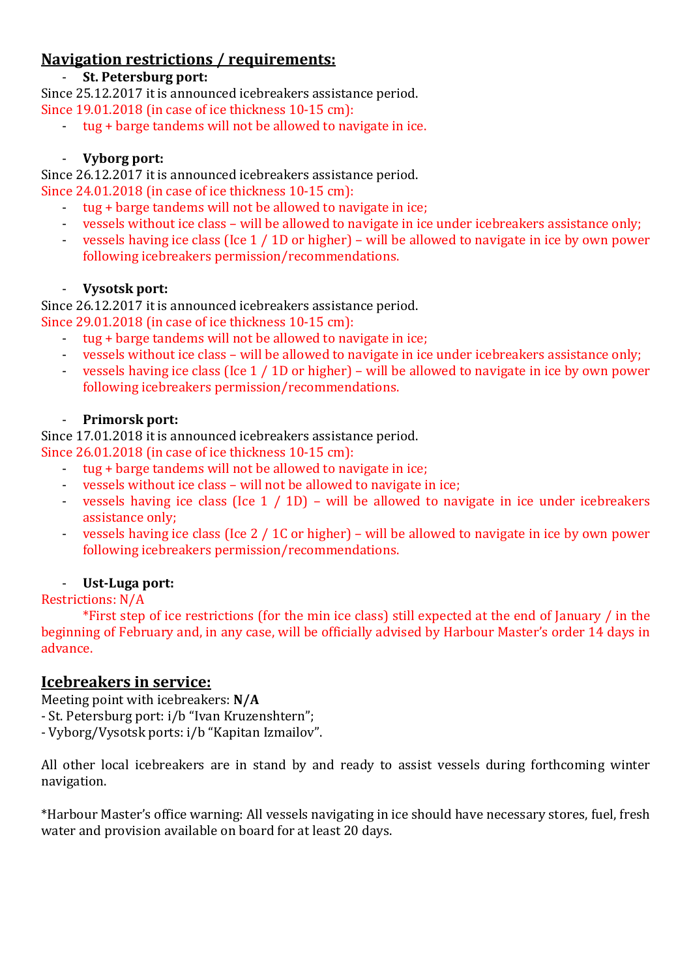### **Navigation restrictions / requirements:**

#### - **St. Petersburg port:**

Since 25.12.2017 it is announced icebreakers assistance period. Since 19.01.2018 (in case of ice thickness 10-15 cm):

- tug + barge tandems will not be allowed to navigate in ice.

#### - **Vyborg port:**

Since 26.12.2017 it is announced icebreakers assistance period.

Since 24.01.2018 (in case of ice thickness 10-15 cm):

- tug + barge tandems will not be allowed to navigate in ice;
- vessels without ice class will be allowed to navigate in ice under icebreakers assistance only;
- vessels having ice class (Ice 1 / 1D or higher) will be allowed to navigate in ice by own power following icebreakers permission/recommendations.

#### - **Vysotsk port:**

Since 26.12.2017 it is announced icebreakers assistance period.

Since 29.01.2018 (in case of ice thickness 10-15 cm):

- tug + barge tandems will not be allowed to navigate in ice;
- vessels without ice class will be allowed to navigate in ice under icebreakers assistance only;
- vessels having ice class (Ice 1 / 1D or higher) will be allowed to navigate in ice by own power following icebreakers permission/recommendations.

#### - **Primorsk port:**

Since 17.01.2018 it is announced icebreakers assistance period.

Since 26.01.2018 (in case of ice thickness 10-15 cm):

- tug + barge tandems will not be allowed to navigate in ice;
- vessels without ice class will not be allowed to navigate in ice;
- vessels having ice class (Ice  $1 / 1D$ ) will be allowed to navigate in ice under icebreakers assistance only;
- vessels having ice class (Ice  $2/1C$  or higher) will be allowed to navigate in ice by own power following icebreakers permission/recommendations.

### - **Ust-Luga port:**

#### Restrictions: N/A

\*First step of ice restrictions (for the min ice class) still expected at the end of January / in the beginning of February and, in any case, will be officially advised by Harbour Master's order 14 days in advance.

### **Icebreakers in service:**

Meeting point with icebreakers: **N/A**

- St. Petersburg port: i/b "Ivan Kruzenshtern";

- Vyborg/Vysotsk ports: i/b "Kapitan Izmailov".

All other local icebreakers are in stand by and ready to assist vessels during forthcoming winter navigation.

\*Harbour Master's office warning: All vessels navigating in ice should have necessary stores, fuel, fresh water and provision available on board for at least 20 days.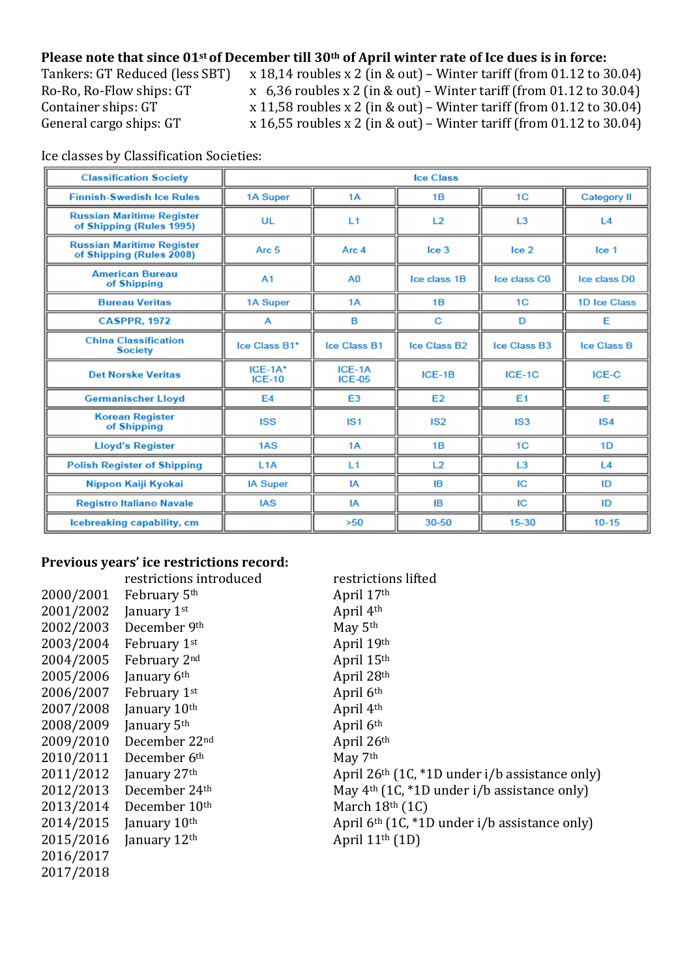#### **Please note that since 01st of December till 30th of April winter rate of Ice dues is in force:**

Tankers: GT Reduced (less SBT)  $x$  18,14 roubles  $x$  2 (in & out) – Winter tariff (from 01.12 to 30.04)<br>Ro-Ro, Ro-Flow ships: GT  $x$  6,36 roubles  $x$  2 (in & out) – Winter tariff (from 01.12 to 30.04) Ro-Ro, Ro-Flow ships: GT  $\begin{array}{r} x \quad 6,36 \text{ roubles} \ x \quad 2 \text{ (in } \& \text{out)} - \text{Winter}\n \end{array}$  (from 01.12 to 30.04)<br>Container ships: GT  $\begin{array}{r} x \quad 11,58 \text{ roubles} \ x \quad 2 \text{ (in } \& \text{out)} - \text{Winter}\n \end{array}$  (from 01.12 to 30.04) x 11,58 roubles x 2 (in & out) – Winter tariff (from 01.12 to 30.04) General cargo ships: GT  $x 16,55$  roubles x 2 (in & out) – Winter tariff (from 01.12 to 30.04)

Ice classes by Classification Societies:

| <b>Classification Society</b>                                | <b>Ice Class</b>           |                         |                  |                  |                    |  |  |
|--------------------------------------------------------------|----------------------------|-------------------------|------------------|------------------|--------------------|--|--|
| <b>Finnish-Swedish Ice Rules</b>                             | 1A Super                   | 1A                      | 1B               | 1 <sub>C</sub>   | <b>Category II</b> |  |  |
| <b>Russian Maritime Register</b><br>of Shipping (Rules 1995) | <b>UL</b>                  | L1                      | L2               | L <sub>3</sub>   | L <sub>4</sub>     |  |  |
| <b>Russian Maritime Register</b><br>of Shipping (Rules 2008) | Arc <sub>5</sub>           | Arc 4                   | lce <sub>3</sub> | lce <sub>2</sub> | lce <sub>1</sub>   |  |  |
| <b>American Bureau</b><br>of Shipping                        | A <sub>1</sub>             | A <sub>0</sub>          | Ice class 1B     | Ice class CO     | Ice class DO       |  |  |
| <b>Bureau Veritas</b>                                        | 1A Super                   | 1A                      | 1B               | 1 <sup>C</sup>   | 1D Ice Class       |  |  |
| <b>CASPPR, 1972</b>                                          |                            | B                       | С                | D                | E                  |  |  |
| <b>China Classification</b><br><b>Society</b>                | Ice Class B1*              | Ice Class B1            | Ice Class B2     | Ice Class B3     | <b>Ice Class B</b> |  |  |
| <b>Det Norske Veritas</b>                                    | $ICE-1A*$<br><b>ICE-10</b> | ICE-1A<br><b>ICE-05</b> | $ICE-1B$         | $ICE-1C$         | <b>ICE-C</b>       |  |  |
| <b>Germanischer Lloyd</b>                                    | E <sub>4</sub>             | E <sub>3</sub>          | E <sub>2</sub>   | E <sub>1</sub>   | Е                  |  |  |
| <b>Korean Register</b><br>of Shipping                        | <b>ISS</b>                 | <b>IS1</b>              | <b>IS2</b>       | IS3              | <b>IS4</b>         |  |  |
| <b>Lloyd's Register</b>                                      | 1AS                        | 1A                      | 1B               | 1 <sub>C</sub>   | 1D                 |  |  |
| <b>Polish Register of Shipping</b>                           | L1A                        | L1                      | L2               | L3               | L <sub>4</sub>     |  |  |
| Nippon Kaiji Kyokai                                          | <b>IA Super</b>            | IA                      | <b>IB</b>        | IC               | ID                 |  |  |
| <b>Registro Italiano Navale</b>                              | <b>IAS</b>                 | IA                      | <b>IB</b>        | IC               | ID                 |  |  |
| Icebreaking capability, cm                                   |                            | >50                     | 30-50            | 15-30            | $10 - 15$          |  |  |

## **Previous years' ice restrictions record:**

| restrictions introduced   | restrictions lifted                                        |
|---------------------------|------------------------------------------------------------|
| February 5th              | April 17th                                                 |
| January 1st               | April 4th                                                  |
| December 9th              | May 5th                                                    |
| February 1st              | April 19th                                                 |
| February 2nd              | April 15th                                                 |
| January 6 <sup>th</sup>   | April 28th                                                 |
| February 1st              | April 6th                                                  |
| January 10th              | April 4th                                                  |
| January 5 <sup>th</sup>   | April 6th                                                  |
| December 22nd             | April 26th                                                 |
| December 6th              | May 7th                                                    |
| January 27th              | April 26 <sup>th</sup> (1C, *1D under i/b assistance only) |
| December 24th             | May $4th$ (1C, *1D under i/b assistance only)              |
| December 10 <sup>th</sup> | March $18th$ (1C)                                          |
| January 10 <sup>th</sup>  | April 6 <sup>th</sup> (1C, *1D under i/b assistance only)  |
| January 12th              | April $11th$ (1D)                                          |
|                           |                                                            |
|                           |                                                            |
|                           |                                                            |